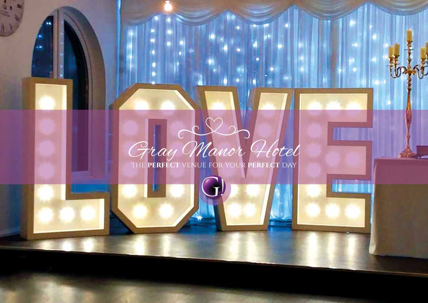

the **perfect** venue for your **perfect** day

联盟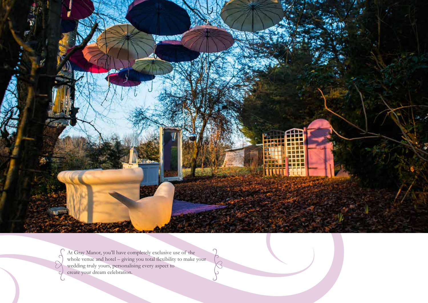

At Gray Manor, you'll have completely exclusive use of the whole venue and hotel – giving you total flexibility to make your wedding truly yours, personalising every aspect to create your dream celebration.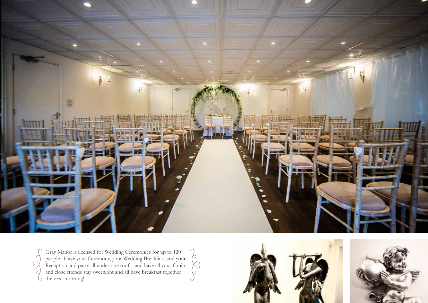

Κś  $\mathcal{L}_{\mathcal{L}}$ 

C  $\sum$ Ċ G

Gray Manor is licensed for Wedding Ceremonies for up to 120 people. Have your Ceremony, your Wedding Breakfast, and your Reception and party all under one roof - and have all your family and close friends stay overnight and all have breakfast together the next morning!

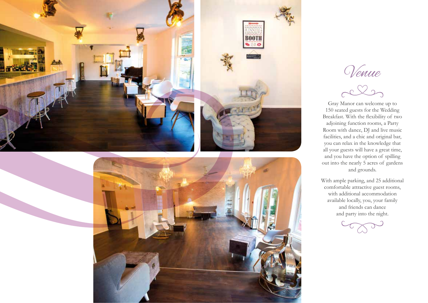

Venue

Gray Manor can welcome up to 150 seated guests for the Wedding Breakfast. With the flexibility of two adjoining function rooms, a Party Room with dance, DJ and live music facilities, and a chic and original bar, you can relax in the knowledge that all your guests will have a great time, and you have the option of spilling out into the nearly 5 acres of gardens and grounds.

With ample parking, and 25 additional comfortable attractive guest rooms, with additional accommodation available locally, you, your family and friends can dance and party into the night.

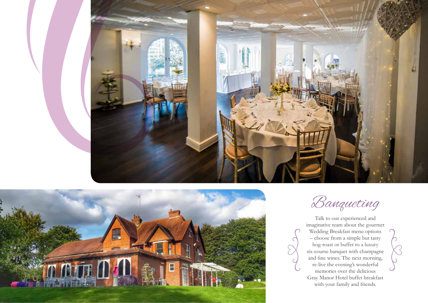



Banqueting

Talk to our experienced and imaginative team about the gourmet Wedding Breakfast menu options – choose from a simple but tasty hog-roast or buffet to a luxury six-course banquet with champagne and fine wines. The next morning, re-live the evening's wonderful memories over the delicious Gray Manor Hotel buffet breakfast with your family and friends.

 $\bigcap$ 

 $\mathcal{C}$  $\sum$ 

 $\overline{C}$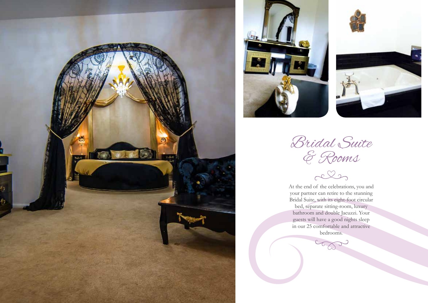



Bridal Suite & Rooms

At the end of the celebrations, you and your partner can retire to the stunning Bridal Suite, with its eight-foot circular bed, separate sitting-room, luxury bathroom and double Jacuzzi. Your guests will have a good nights sleep in our 25 comfortable and attractive bedrooms.

5000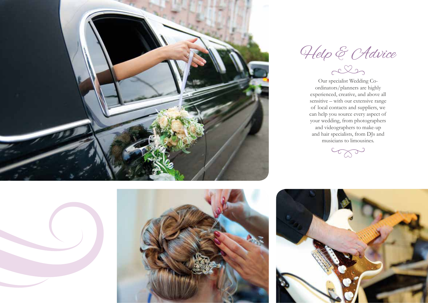

Help & CAdvice

Our specialist Wedding Coordinators/planners are highly experienced, creative, and above all sensitive – with our extensive range of local contacts and suppliers, we can help you source every aspect of your wedding, from photographers and videographers to make-up and hair specialists, from DJs and musicians to limousines.

com